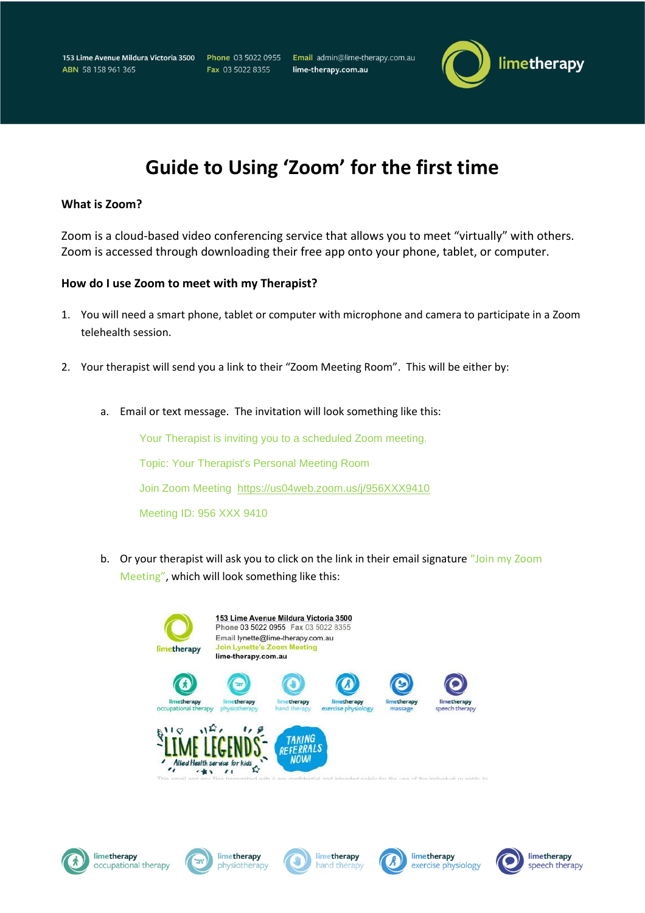153 Lime Avenue Mildura Victoria 3500 ABN 58 158 961 365

Phone 03 5022 0955 Fax 03 5022 8355

Email admin@lime-therapy.com.au lime-therapy.com.au



## **Guide to Using 'Zoom' for the first time**

## **What is Zoom?**

Zoom is a cloud-based video conferencing service that allows you to meet "virtually" with others. Zoom is accessed through downloading their free app onto your phone, tablet, or computer.

## **How do I use Zoom to meet with my Therapist?**

- 1. You will need a smart phone, tablet or computer with microphone and camera to participate in a Zoom telehealth session.
- 2. Your therapist will send you a link to their "Zoom Meeting Room". This will be either by:
	- a. Email or text message. The invitation will look something like this:

Your Therapist is inviting you to a scheduled Zoom meeting. Topic: Your Therapist's Personal Meeting Room Join Zoom Meeting <https://us04web.zoom.us/j/956XXX9410> Meeting ID: 956 XXX 9410

b. Or your therapist will ask you to click on the link in their email signature "Join my Zoom Meeting", which will look something like this:











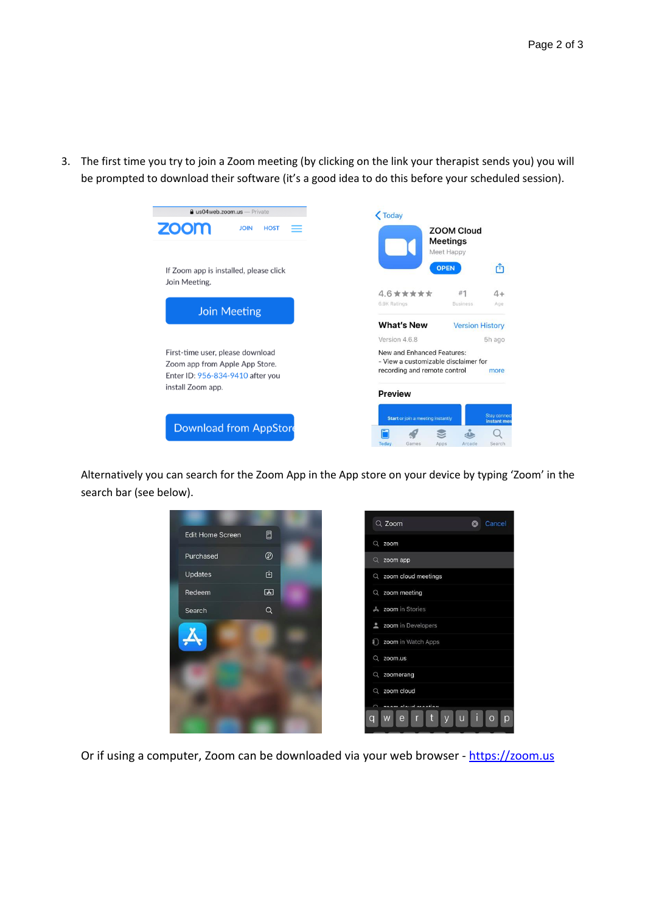3. The first time you try to join a Zoom meeting (by clicking on the link your therapist sends you) you will be prompted to download their software (it's a good idea to do this before your scheduled session).



Alternatively you can search for the Zoom App in the App store on your device by typing 'Zoom' in the search bar (see below).



Or if using a computer, Zoom can be downloaded via your web browser - [https://zoom.us](https://zoom.us/)